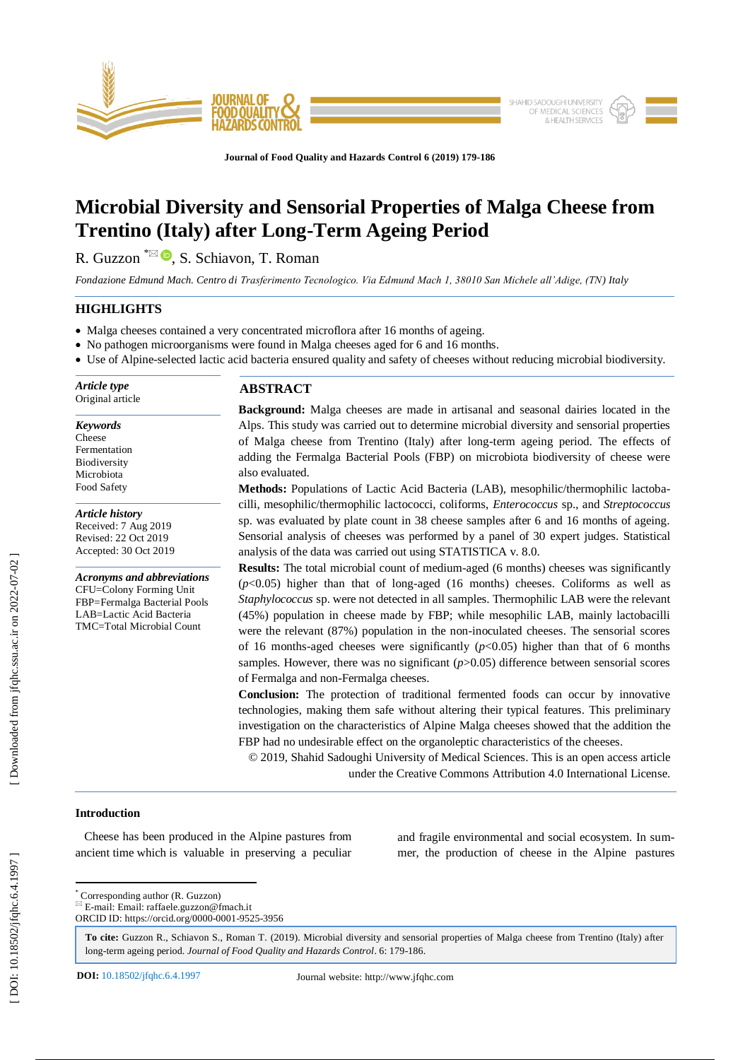

**Journal of Food Quality and Hazards Control 6 (201 9) 179 -186**

# **Microbial Diversity and Sensorial Properties of Malga Cheese from Trentino (Italy) after Long -Term Ageing Period**

R. Guzzon <sup>\*⊠ D</sup>, S. Schiavon, T. Roman

*Fondazione Edmund Mach. Centro di Trasferimento Tecnologico. Via Edmund Mach 1, 38010 San Michele all'Adige, (TN) Italy*

# **HIGHLIGHTS**

- Malga cheeses contained a very concentrated microflora after 16 months of ageing.
- No pathogen microorganisms were found in Malga cheeses aged for 6 and 16 months.
- Use of Alpine-selected lactic acid bacteria ensured quality and safety of cheeses without reducing microbial biodiversity.

*Article type* Original article

*Keywords* Cheese Fermentation Biodiversity Microbiota Food Safety

*Article history* Received: 7 Aug 2019 Revised: 22 Oct 2019 Accepted: 30 Oct 2019

*Acronyms and abbreviations* CFU=Colony Forming Unit FBP=Fermalga Bacterial Pools LAB=Lactic Acid Bacteria TMC=Total Microbial Count

# **ABSTRACT**

**Background:** Malga cheeses are made in artisanal and seasonal dairies located in the Alps. This study was carried out to determine microbial diversity and sensorial properties of Malga cheese from Trentino (Italy) after long -term ageing period. The effects of adding the Fermalga Bacterial Pools (FBP) on microbiota biodiversity of cheese were also evaluated.

**Methods:** Populations of Lactic Acid Bacteria (LAB), mesophilic/thermophilic lactobacilli, mesophilic/thermophilic lactococci, coliforms, *Enterococcus* sp., and *Streptococcus* sp. was evaluated by plate count in 38 cheese samples after 6 and 16 months of ageing. Sensorial analysis of cheeses was performed by a panel of 30 expert judges. Statistical analysis of the data was carried out using STATISTICA v. 8.0.

**Results:** The total microbial count of medium-aged (6 months) cheeses was significantly  $(p<0.05)$  higher than that of long-aged  $(16 \text{ months})$  cheeses. Coliforms as well as *Staphylococcus* sp. were not detected in all samples. Thermophilic LAB were the relevant (45%) population in cheese made by FBP; while mesophilic LAB, mainly lactobacilli were the relevant (87%) population in the non -inoculated cheeses. The sensorial scores of 16 months-aged cheeses were significantly  $(p<0.05)$  higher than that of 6 months samples. However, there was no significant  $(p>0.05)$  difference between sensorial scores of Fermalga and non -Fermalga cheeses.

**Conclusion:** The protection of traditional fermented foods can occur by innovative technologies, making them safe without altering their typical features. This preliminary investigation on the characteristics of Alpine Malga cheeses showed that the addition the FBP had no undesirable effect on the organoleptic characteristics of the cheeses.

© 201 9, Shahid Sadoughi University of Medical Sciences. This is an open access article under the Creative Commons Attribution 4.0 International License.

## **Introduction**

 Cheese has been produced in the Alpine pastures from ancient time which is valuable in preserving a peculiar and fragile environmental and social ecosystem. In summer, the production of cheese in the Alpine pastures

\* Corresponding author (R. Guzzon)

 $E = E$ -mail: Email: raffaele.guzzon@fmach.it ORCID ID: https://orcid.org/0000 -0001 -9525 -3956

**To cite:** Guzzon R., Schiavon S., Roman T. (201 9). Microbial diversity and sensorial properties of Malga cheese from Trentino (Italy) after long-term ageing period. Journal of Food Quality and Hazards Control. 6: 179-186.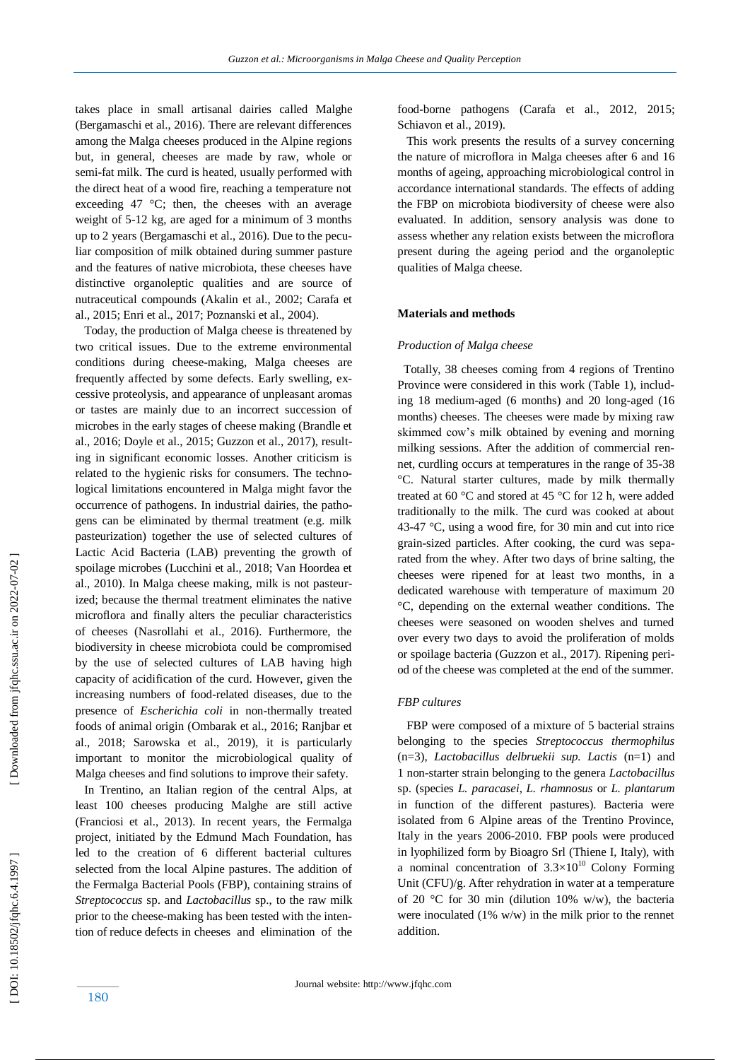takes place in small artisanal dairies called Malghe (Bergamaschi et al., 2016). There are relevant differences among the Malga cheeses produced in the Alpine regions but, in general, cheeses are made by raw, whole or semi -fat milk. The curd is heated, usually performed with the direct heat of a wood fire, reaching a temperature not exceeding 47  $\degree$ C; then, the cheeses with an average weight of 5 -12 kg, are aged for a minimum of 3 months up to 2 years (Bergamaschi et al., 2016). Due to the peculiar composition of milk obtained during summer pasture and the features of native microbiota, these cheeses have distinctive organoleptic qualities and are source of nutraceutical compounds (Akalin et al., 2002; Carafa et al., 2015; Enri et al., 2017; Poznanski et al., 2004).

 Today, the production of Malga cheese is threatened by two critical issues. Due to the extreme environmental conditions during cheese -making, Malga cheeses are frequently affected by some defects. Early swelling, excessive proteolysis, and appearance of unpleasant aromas or tastes are mainly due to an incorrect succession of microbes in the early stages of cheese making (Brandle et al., 2016; Doyle et al., 2015; Guzzon et al., 2017), resulting in significant economic losses. Another criticism is related to the hygienic risks for consumers. The technological limitations encountered in Malga might favor the occurrence of pathogens. In industrial dairies, the pathogens can be eliminated by thermal treatment (e.g. milk pasteurization) together the use of selected cultures of Lactic Acid Bacteria (LAB) preventing the growth of spoilage microbes (Lucchini et al., 2018; Van Hoordea et al., 2010). In Malga cheese making, milk is not pasteurized; because the thermal treatment eliminates the native microflora and finally alters the peculiar characteristics of cheeses (Nasrollahi et al., 2016). Furthermore, the biodiversity in cheese microbiota could be compromised by the use of selected cultures of LAB having high capacity of acidification of the curd. However, given the increasing numbers of food -related diseases, due to the presence of *Escherichia coli* in non -thermally treated foods of animal origin (Ombarak et al., 2016; Ranjbar et al., 2018; Sarowska et al., 2019), it is particularly important to monitor the microbiological quality of Malga cheeses and find solutions to improve their safety.

 In Trentino, an Italian region of the central Alps, at least 100 cheeses producing Malghe are still active (Franciosi et al., 2013). In recent years, the Fermalga project, initiated by the Edmund Mach Foundation, has led to the creation of 6 different bacterial cultures selected from the local Alpine pastures. The addition of the Fermalga Bacterial Pools (FBP), containing strains of *Streptococcus* sp. and *Lactobacillus* sp., to the raw milk prior to the cheese -making has been tested with the intention of reduce defects in cheeses and elimination of the food -borne pathogens (Carafa et al., 2012 , 2015; Schiavon et al., 2019).

 This work presents the results of a survey concerning the nature of microflora in Malga cheeses after 6 and 16 months of ageing, approaching microbiological control in accordance international standards. The effects of adding the FBP on microbiota biodiversity of cheese were also evaluated. In addition, sensory analysis was done to assess whether any relation exists between the microflora present during the ageing period and the organoleptic qualities of Malga cheese.

## **Materials and methods**

#### *Production of Malga cheese*

 Totally, 38 cheeses coming from 4 regions of Trentino Province were considered in this work (Table 1), including 18 medium-aged (6 months) and 20 long-aged (16 months) cheeses. The cheeses were made by mixing raw skimmed cow's milk obtained by evening and morning milking sessions. After the addition of commercial rennet, curdling occurs at temperatures in the range of 35-38 °C. Natural starter cultures, made by milk thermally treated at 60 °C and stored at 45 °C for 12 h, were added traditionally to the milk. The curd was cooked at about 43 -47 °C, using a wood fire, for 30 min and cut into rice grain -sized particles. After cooking, the curd was separated from the whey. After two days of brine salting, the cheeses were ripened for at least two months, in a dedicated warehouse with temperature of maximum 20 °C, depending on the external weather conditions. The cheeses were seasoned on wooden shelves and turned over every two days to avoid the proliferation of molds or spoilage bacteria (Guzzon et al., 2017). Ripening period of the cheese was completed at the end of the summer.

#### *FBP cultures*

 FBP were composed of a mixture of 5 bacterial strains belonging to the species *Streptococcus thermophilus*  (n=3), *Lactobacillus delbruekii sup. Lactis* (n=1) and 1 non -starter strain belonging to the genera *Lactobacillus* sp. (species *L. paracasei*, *L. rhamnosus* or *L. plantarum* in function of the different pastures). Bacteria were isolated from 6 Alpine areas of the Trentino Province, Italy in the years 2006 -2010. FBP pools were produced in lyophilized form by Bioagro Srl (Thiene I, Italy), with a nominal concentration of  $3.3 \times 10^{10}$  Colony Forming Unit (CFU)/g. After rehydration in water at a temperature of 20 °C for 30 min (dilution 10% w/w), the bacteria were inoculated (1% w/w) in the milk prior to the rennet addition.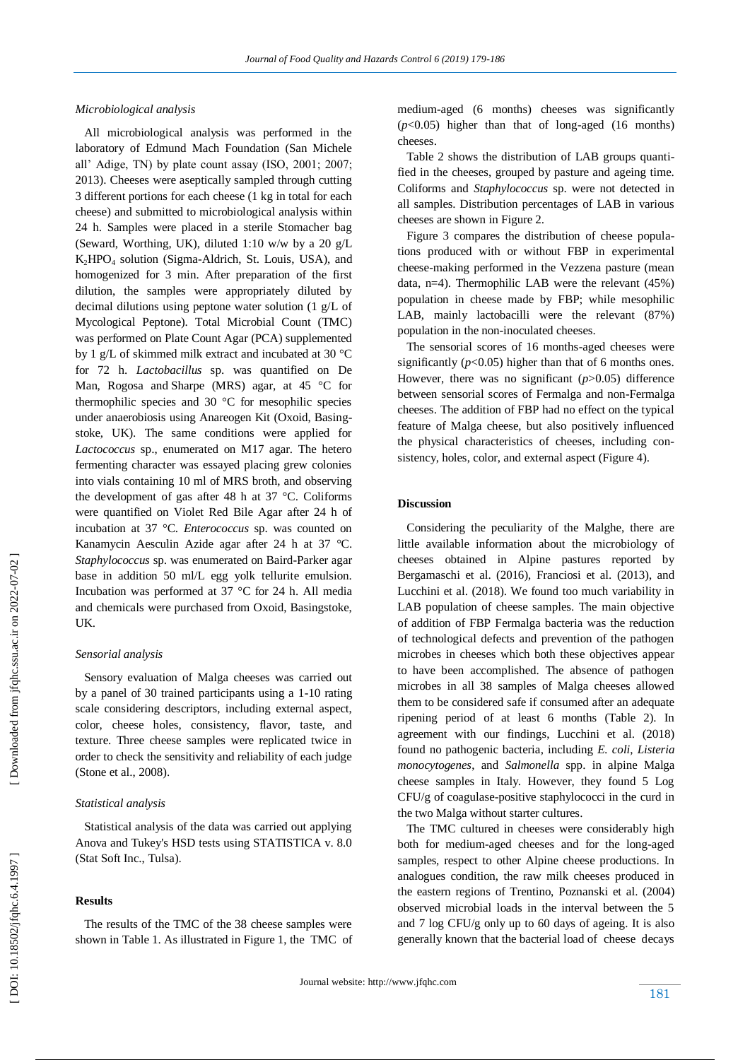## *Microbiological analysis*

 All microbiological analysis was performed in the laboratory of Edmund Mach Foundation (San Michele all' Adige, TN) by plate count assay (ISO, 2001; 2007; 2013). Cheeses were aseptically sampled through cutting 3 different portions for each cheese (1 kg in total for each cheese) and submitted to microbiological analysis within 24 h. Samples were placed in a sterile Stomacher bag (Seward, Worthing, UK), diluted 1:10 w/w by a 20 g/L  $K_2HPO_4$  solution (Sigma-Aldrich, St. Louis, USA), and homogenized for 3 min. After preparation of the first dilution, the samples were appropriately diluted by decimal dilutions using peptone water solution (1 g/L of Mycological Peptone). Total Microbial Count (TMC) was performed on Plate Count Agar (PCA) supplemented by 1 g/L of skimmed milk extract and incubated at 30 °C for 72 h. *Lactobacillus* sp. was quantified on De Man, Rogosa and Sharpe (MRS) agar, at 45 °C for thermophilic species and 30 °C for mesophilic species under anaerobiosis using Anareogen Kit (Oxoid, Basingstoke, UK). The same conditions were applied for *Lactococcus* sp., enumerated on M17 agar. The hetero fermenting character was essayed placing grew colonies into vials containing 10 ml of MRS broth, and observing the development of gas after 48 h at 37 °C. Coliforms were quantified on Violet Red Bile Agar after 24 h of incubation at 37 °C. *Enterococcus* sp. was counted on Kanamycin Aesculin Azide agar after 24 h at 37 °C. Staphylococcus sp. was enumerated on Baird-Parker agar base in addition 50 ml/L egg yolk tellurite emulsion. Incubation was performed at 37 °C for 24 h. All media and chemicals were purchased from Oxoid, Basingstoke, UK.

## *Sensorial analysis*

 Sensory evaluation of Malga cheeses was carried out by a panel of 30 trained participants using a 1 -10 rating scale considering descriptors, including external aspect, color, cheese holes, consistency, flavor, taste, and texture. Three cheese samples were replicated twice in order to check the sensitivity and reliability of each judge (Stone et al., 2008).

# *Statistical analysis*

 Statistical analysis of the data was carried out applying Anova and Tukey's HSD tests using STATISTICA v. 8.0 (Stat Soft Inc., Tulsa).

# **Results**

 The results of the TMC of the 38 cheese samples were shown in Table 1. As illustrated in Figure 1, the TMC of medium -aged (6 months) cheeses was significantly (*p*<0.05) higher than that of long -aged (16 months) cheeses.

 Table 2 shows the distribution of LAB groups quantified in the cheeses, grouped by pasture and ageing time. Coliforms and *Staphylococcus* sp. were not detected in all samples. Distribution percentages of LAB in various cheeses are shown in Figure 2.

 Figure 3 compares the distribution of cheese populations produced with or without FBP in experimental cheese -making performed in the Vezzena pasture (mean data, n=4). Thermophilic LAB were the relevant (45%) population in cheese made by FBP; while mesophilic LAB, mainly lactobacilli were the relevant (87%) population in the non -inoculated cheeses.

 The sensorial scores of 16 months -aged cheeses were significantly  $(p<0.05)$  higher than that of 6 months ones. However, there was no significant (*p*>0.05) difference between sensorial scores of Fermalga and non -Fermalga cheeses. The addition of FBP had no effect on the typical feature of Malga cheese, but also positively influenced the physical characteristics of cheeses, including consistency, holes, color, and external aspect (Figure 4).

#### **Discussion**

Considering the peculiarity of the Malghe, there are little available information about the microbiology of cheeses obtained in Alpine pastures reported by Bergamaschi et al. (2016), Franciosi et al. (2013), and Lucchini et al. (2018). We found too much variability in LAB population of cheese samples. The main objective of addition of FBP Fermalga bacteria was the reduction of technological defects and prevention of the pathogen microbes in cheeses which both these objectives appear to have been accomplished. The absence of pathogen microbes in all 38 samples of Malga cheeses allowed them to be considered safe if consumed after an adequate ripening period of at least 6 months (Table 2). In agreement with our findings, Lucchini et al. (2018) found no pathogenic bacteria , including *E. coli*, *Listeria monocytogenes*, and *Salmonella* spp. in alpine Malga cheese samples in Italy. However, they found 5 Log CFU/g of coagulase -positive staphylococci in the curd in the two Malga without starter cultures.

 The TMC cultured in cheeses were considerably high both for medium -aged cheeses and for the long -aged samples, respect to other Alpine cheese productions. In analogues condition, the raw milk cheeses produced in the eastern regions of Trentino, Poznanski et al. (2004) observed microbial loads in the interval between the 5 and 7 log CFU/g only up to 60 days of ageing. It is also generally known that the bacterial load of cheese decays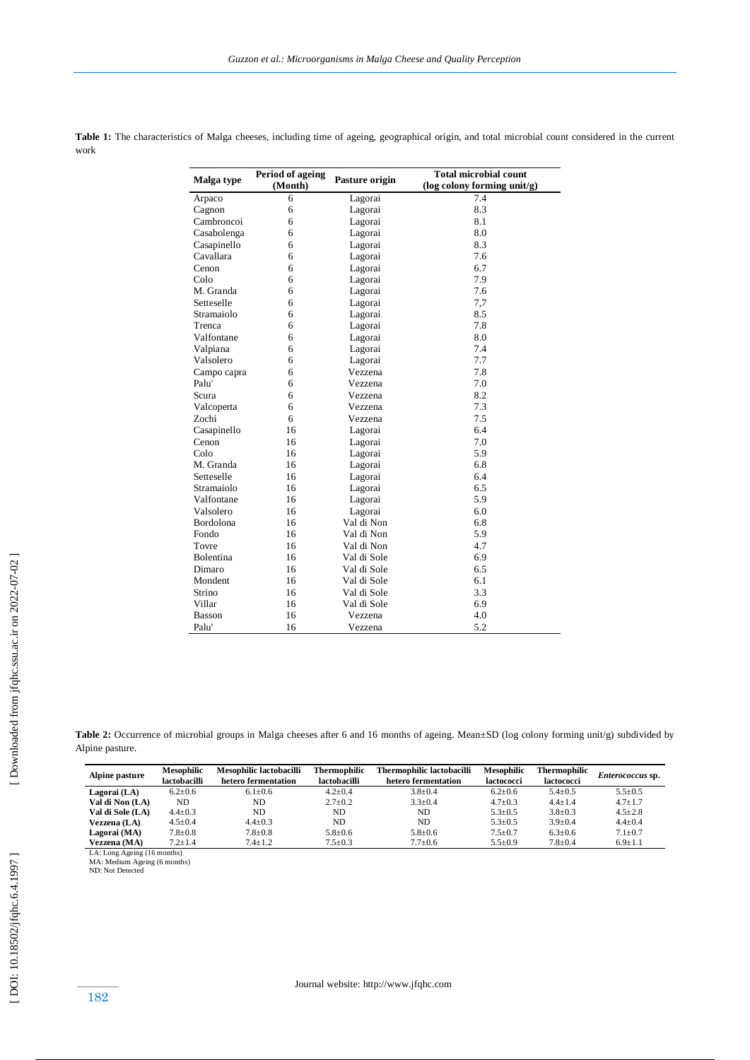|             | Period of ageing |                | <b>Total microbial count</b><br>(log colony forming unit/g)<br>7.4 |  |  |
|-------------|------------------|----------------|--------------------------------------------------------------------|--|--|
| Malga type  | (Month)          | Pasture origin |                                                                    |  |  |
| Arpaco      | 6                | Lagorai        |                                                                    |  |  |
| Cagnon      | 6                | Lagorai        | 8.3                                                                |  |  |
| Cambroncoi  | 6                | Lagorai        | 8.1                                                                |  |  |
| Casabolenga | 6                | Lagorai        | 8.0                                                                |  |  |
| Casapinello | 6                | Lagorai        | 8.3                                                                |  |  |
| Cavallara   | 6                | Lagorai        | 7.6                                                                |  |  |
| Cenon       | 6                | Lagorai        | 6.7                                                                |  |  |
| Colo        | 6                | Lagorai        | 7.9                                                                |  |  |
| M. Granda   | 6                | Lagorai        | 7.6                                                                |  |  |
| Setteselle  | 6                | Lagorai        | 7,7                                                                |  |  |
| Stramaiolo  | 6                | Lagorai        | 8.5                                                                |  |  |
| Trenca      | 6                | Lagorai        | 7.8                                                                |  |  |
| Valfontane  | 6                | Lagorai        | 8.0                                                                |  |  |
| Valpiana    | 6                | Lagorai        | 7.4                                                                |  |  |
| Valsolero   | 6                | Lagorai        | 7.7                                                                |  |  |
| Campo capra | 6                | Vezzena        | 7.8                                                                |  |  |
| Palu'       | 6                | Vezzena        | 7.0                                                                |  |  |
| Scura       | 6                | Vezzena        | 8.2                                                                |  |  |
| Valcoperta  | 6                | Vezzena        | 7.3                                                                |  |  |
| Zochi       | 6                | Vezzena        | 7.5                                                                |  |  |
| Casapinello | 16               | Lagorai        | 6.4                                                                |  |  |
| Cenon       | 16               | Lagorai        | 7.0                                                                |  |  |
| Colo        | 16               | Lagorai        | 5.9                                                                |  |  |
| M. Granda   | 16               | Lagorai        | 6.8                                                                |  |  |
| Setteselle  | 16               | Lagorai        | 6.4                                                                |  |  |
| Stramaiolo  | 16               | Lagorai        | 6.5                                                                |  |  |
| Valfontane  | 16               | Lagorai        | 5.9                                                                |  |  |
| Valsolero   | 16               | Lagorai        | 6.0                                                                |  |  |
| Bordolona   | 16               | Val di Non     | 6.8                                                                |  |  |
| Fondo       | 16               | Val di Non     | 5.9                                                                |  |  |
| Tovre       | 16               | Val di Non     | 4.7                                                                |  |  |
| Bolentina   | 16               | Val di Sole    | 6.9                                                                |  |  |
| Dimaro      | 16               | Val di Sole    | 6.5                                                                |  |  |
| Mondent     | 16               | Val di Sole    | 6.1                                                                |  |  |
| Strino      | 16               | Val di Sole    | 3.3                                                                |  |  |
| Villar      | 16               | Val di Sole    | 6.9                                                                |  |  |
| Basson      | 16               | Vezzena        | 4.0                                                                |  |  |
| Palu'       | 16               | Vezzena        | 5.2                                                                |  |  |

Table 1: The characteristics of Malga cheeses, including time of ageing, geographical origin, and total microbial count considered in the current work

Table 2: Occurrence of microbial groups in Malga cheeses after 6 and 16 months of ageing. Mean±SD (log colony forming unit/g) subdivided by Alpine pasture.

| Alpine pasture               | <b>Mesophilic</b><br>lactobacilli | Mesophilic lactobacilli<br>hetero fermentation | <b>Thermophilic</b><br>lactobacilli | Thermophilic lactobacilli<br>hetero fermentation | <b>Mesophilic</b><br>lactococci | Thermophilic<br>lactococci | <i>Enterococcus</i> sp. |  |
|------------------------------|-----------------------------------|------------------------------------------------|-------------------------------------|--------------------------------------------------|---------------------------------|----------------------------|-------------------------|--|
| Lagorai (LA)                 | $6.2 \pm 0.6$                     | $6.1 \pm 0.6$                                  | $4.2 \pm 0.4$                       | $3.8 \pm 0.4$                                    | $6.2 \pm 0.6$                   | $5.4 \pm 0.5$              | $5.5 \pm 0.5$           |  |
| Val di Non (LA)              | <b>ND</b>                         | ND.                                            | $2.7 \pm 0.2$                       | $3.3 \pm 0.4$                                    | $4.7 \pm 0.3$                   | $4.4 \pm 1.4$              | $4.7 \pm 1.7$           |  |
| Val di Sole (LA)             | $4.4 \pm 0.3$                     | ND.                                            | ND                                  | ND.                                              | $5.3 \pm 0.5$                   | $3.8 \pm 0.3$              | $4.5 \pm 2.8$           |  |
| Vezzena (LA)                 | $4.5 \pm 0.4$                     | $4.4 \pm 0.3$                                  | ND                                  | ND.                                              | $5.3 \pm 0.5$                   | $3.9 \pm 0.4$              | $4.4 \pm 0.4$           |  |
| Lagorai (MA)                 | $7.8 \pm 0.8$                     | $7.8 \pm 0.8$                                  | $5.8 \pm 0.6$                       | $5.8 \pm 0.6$                                    | $7.5 \pm 0.7$                   | $6.3 \pm 0.6$              | $7.1 \pm 0.7$           |  |
| Vezzena (MA)                 | $7.2 \pm 1.4$                     | $7.4 \pm 1.2$                                  | $7.5 \pm 0.3$                       | $7.7 \pm 0.6$                                    | $5.5 \pm 0.9$                   | $7.8 \pm 0.4$              | $6.9 \pm 1.1$           |  |
| LA: Long Ageing (16 months)  |                                   |                                                |                                     |                                                  |                                 |                            |                         |  |
| MA: Medium Ageing (6 months) |                                   |                                                |                                     |                                                  |                                 |                            |                         |  |
| ND: Not Detected             |                                   |                                                |                                     |                                                  |                                 |                            |                         |  |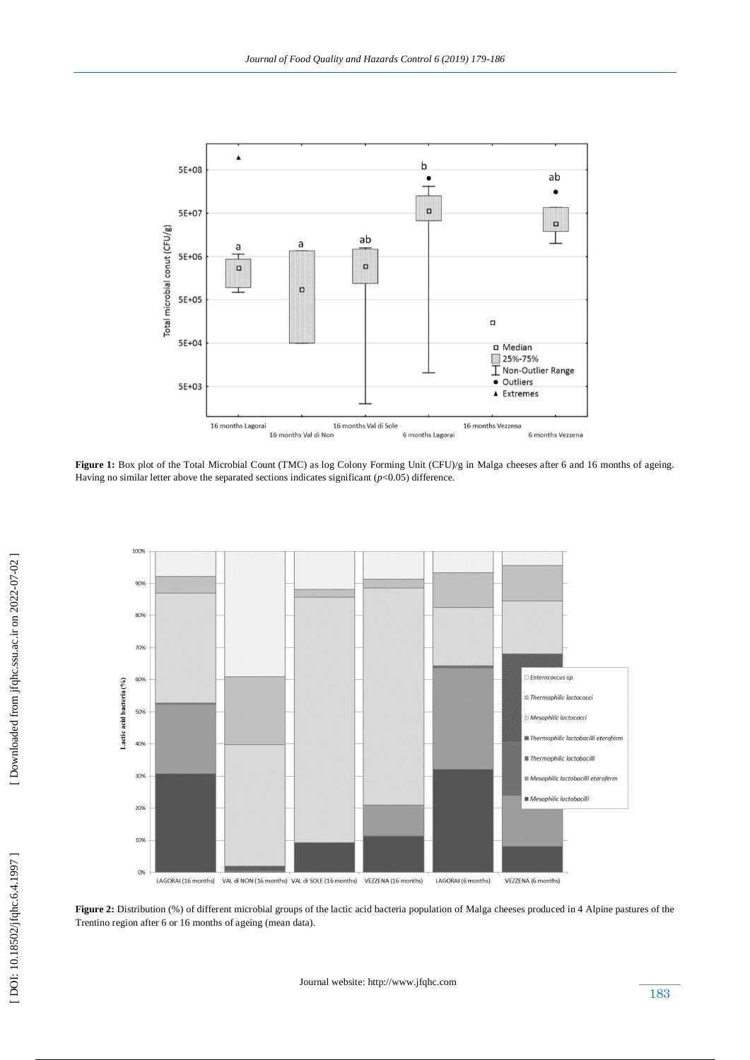

Figure 1: Box plot of the Total Microbial Count (TMC) as log Colony Forming Unit (CFU)/g in Malga cheeses after 6 and 16 months of ageing. Having no similar letter above the separated sections indicates significant ( $p$ <0.05) difference.



 [\[ DOI: 10.18502/jfqhc.6.4.1997 \]](http://dx.doi.org/10.18502/jfqhc.6.4.1997) [\[ Downloaded from jfqhc.ssu.ac.ir on 2022](http://jfqhc.ssu.ac.ir/article-1-636-en.html)-07-02 ]

DOI: 10.18502/jfqhc.6.4.1997

[Downloaded from jfqhc.ssu.ac.ir on 2022-07-02]

Figure 2: Distribution (%) of different microbial groups of the lactic acid bacteria population of Malga cheeses produced in 4 Alpine pastures of the Trentino region after 6 or 16 months of ageing (mean data).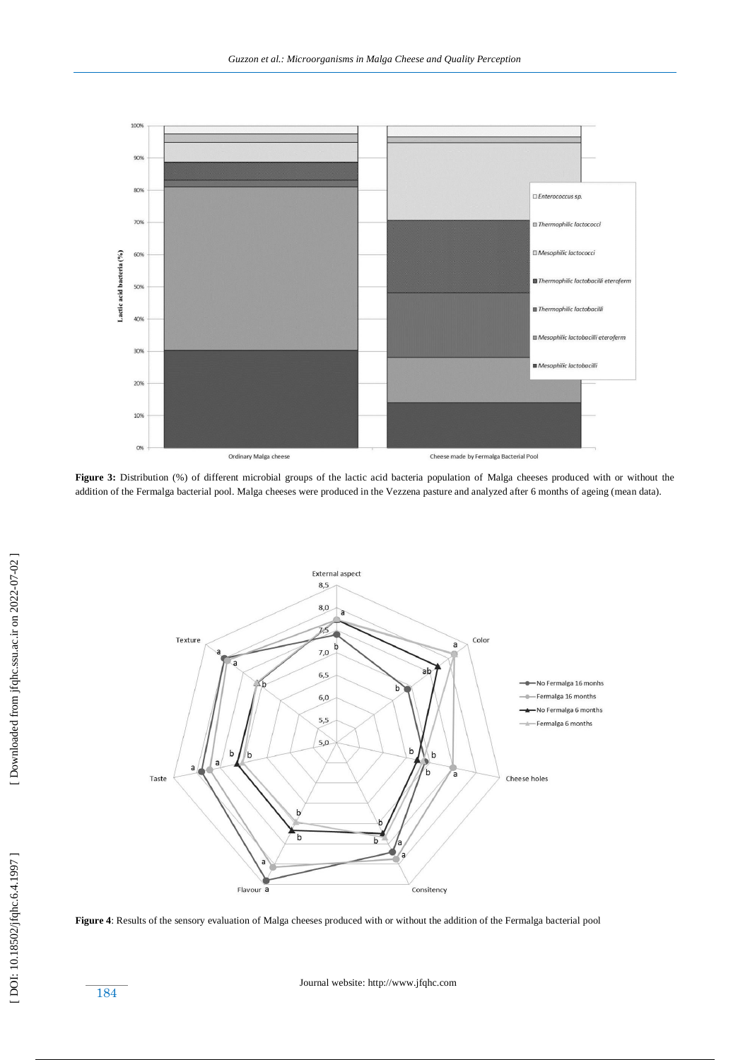

**Figure 3:** Distribution (%) of different microbial groups of the lactic acid bacteria population of Malga cheeses produced with or without the addition of the Fermalga bacterial pool. Malga cheeses were produced in the Vezzena pasture and analyzed after 6 months of ageing (mean data).



**Figure 4**: Results of the sensory evaluation of Malga cheeses produced with or without the addition of the Fermalga bacterial pool

184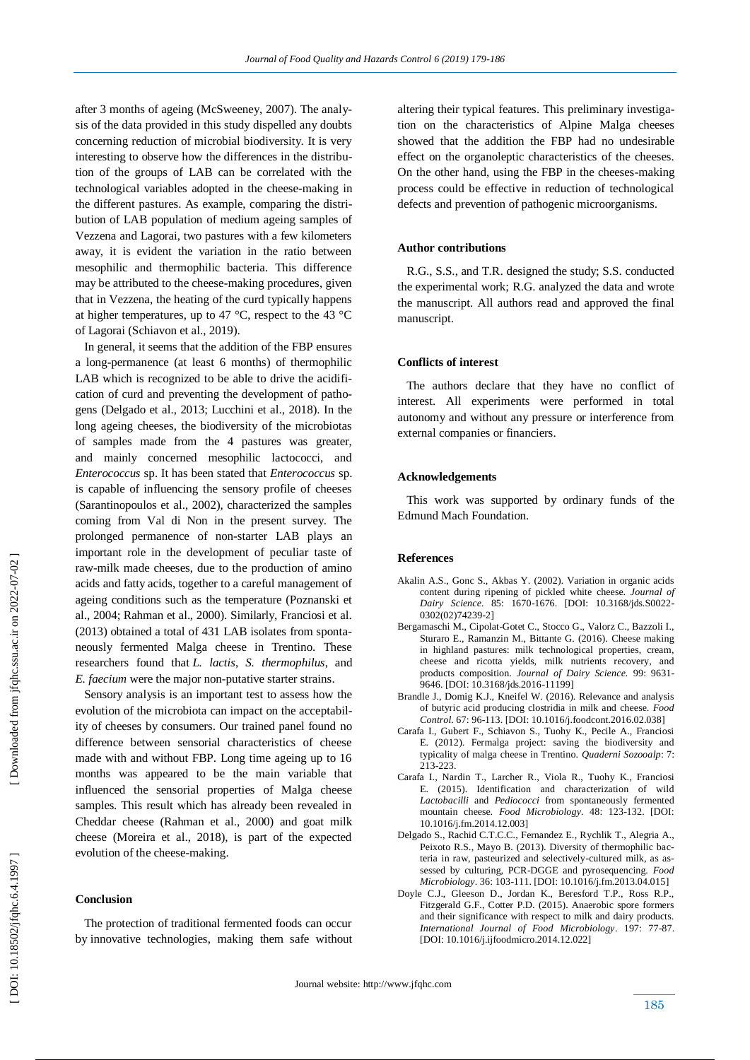after 3 months of ageing (McSweeney, 2007). The analysis of the data provided in this study dispelled any doubts concerning reduction of microbial biodiversity. It is very interesting to observe how the differences in the distribution of the groups of LAB can be correlated with the technological variables adopted in the cheese -making in the different pastures. As example, comparing the distribution of LAB population of medium ageing samples of Vezzena and Lagorai, two pastures with a few kilometers away, it is evident the variation in the ratio between mesophilic and thermophilic bacteria. This difference may be attributed to the cheese -making procedures, given that in Vezzena, the heating of the curd typically happens at higher temperatures, up to 47 °C, respect to the 43 °C of Lagorai (Schiavon et al., 2019).

 In general, it seems that the addition of the FBP ensures a long -permanence (at least 6 months) of thermophilic LAB which is recognized to be able to drive the acidification of curd and preventing the development of pathogens (Delgado et al., 2013; Lucchini et al., 2018). In the long ageing cheeses, the biodiversity of the microbiotas of samples made from the 4 pastures was greater, and mainly concerned mesophilic lactococci, and *Enterococcus* sp. It has been stated that *Enterococcus* sp. is capable of influencing the sensory profile of cheeses (Sarantinopoulos et al., 2002), characterized the samples coming from Val di Non in the present survey. The prolonged permanence of non -starter LAB plays an important role in the development of peculiar taste of raw -milk made cheeses, due to the production of amino acids and fatty acids, together to a careful management of ageing conditions such as the temperature (Poznanski et al., 2004; Rahman et al., 2000). Similarly, Franciosi et al. (2013) obtained a total of 431 LAB isolates from spontaneously fermented Malga cheese in Trentino. These researchers found that *L. lactis*, *S. thermophilus*, and *E. faecium* were the major non -putative starter strains.

 Sensory analysis is an important test to assess how the evolution of the microbiota can impact on the acceptability of cheeses by consumers. Our trained panel found no difference between sensorial characteristics of cheese made with and without FBP. Long time ageing up to 16 months was appeared to be the main variable that influenced the sensorial properties of Malga cheese samples. This result which has already been revealed in Cheddar cheese (Rahman et al., 2000) and goat milk cheese (Moreira et al., 2018), is part of the expected evolution of the cheese -making.

#### **Conclusion**

 The protection of traditional fermented foods can occur by innovative technologies, making them safe without altering their typical features. This preliminary investigation on the characteristics of Alpine Malga cheeses showed that the addition the FBP had no undesirable effect on the organoleptic characteristics of the cheeses. On the other hand, using the FBP in the cheeses -making process could be effective in reduction of technological defects and prevention of pathogenic microorganisms.

#### **Author contributions**

 R.G ., S.S., and T.R . designed the study; S.S . conducted the experimental work; R.G . analyzed the data and wrote the manuscript. All authors read and approved the final manuscript.

#### **Conflicts of interest**

 The authors declare that they have no conflict of interest. All experiments were performed in total autonomy and without any pressure or interference from external companies or financiers.

#### **Acknowledgements**

 This work was supported by ordinary funds of the Edmund Mach Foundation.

#### **Reference s**

- Akalin A.S., Gonc S., Akbas Y. (2002). Variation in organic acids content during ripening of pickled white cheese. *Journal of Dairy Science.* 85: 1670 -1676. [DOI: 10.3168/jds.S0022 - 0302(02)74239 -2]
- Bergamaschi M., Cipolat -Gotet C., Stocco G., Valorz C., Bazzoli I., Sturaro E., Ramanzin M., Bittante G. (2016). Cheese making in highland pastures: milk technological properties, cream, cheese and ricotta yields, milk nutrients recovery, and products composition. *Journal of Dairy Science.* 99: 9631 - 9646. [DOI: 10.3168/jds.2016 -11199]
- Brandle J., Domig K.J., Kneifel W. (2016). Relevance and analysis of butyric acid producing clostridia in milk and cheese. *Food Control.* 67: 96 -113. [DOI: 10.1016/j.foodcont.2016.02.038]
- Carafa I., Gubert F., Schiavon S., Tuohy K., Pecile A., Franciosi E. (2012). Fermalga project: saving the biodiversity and typicality of malga cheese in Trentino. *Quaderni Sozooalp*: 7: 213 -223.
- Carafa I., Nardin T., Larcher R., Viola R., Tuohy K., Franciosi E. (2015). Identification and characterization of wild *Lactobacilli* and *Pediococci* from spontaneously fermented mountain cheese. *Food Microbiology.* 48: 123 -132. [DOI: 10.1016/j.fm.2014.12.003]
- Delgado S., Rachid C.T.C.C., Fernandez E., Rychlik T., Alegria A., Peixoto R.S., Mayo B. (2013). Diversity of thermophilic bacteria in raw, pasteurized and selectively-cultured milk, as assessed by culturing, PCR-DGGE and pyrosequencing. *Food Microbiology*. 36: 103 -111. [DOI: 10.1016/j.fm.2013.04.015 ]
- Doyle C.J., Gleeson D., Jordan K., Beresford T.P., Ross R.P., Fitzgerald G.F., Cotter P.D. (2015). Anaerobic spore formers and their significance with respect to milk and dairy products. *International Journal of Food Microbiology*. 197: 77 -87. [DOI: 10.1016/j.ijfoodmicro.2014.12.022]